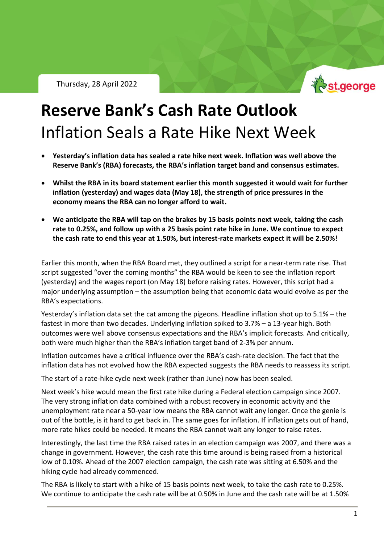Thursday, 28 April 2022



# **Reserve Bank's Cash Rate Outlook** Inflation Seals a Rate Hike Next Week

- **Yesterday's inflation data has sealed a rate hike next week. Inflation was well above the Reserve Bank's (RBA) forecasts, the RBA's inflation target band and consensus estimates.**
- **Whilst the RBA in its board statement earlier this month suggested it would wait for further inflation (yesterday) and wages data (May 18), the strength of price pressures in the economy means the RBA can no longer afford to wait.**
- **We anticipate the RBA will tap on the brakes by 15 basis points next week, taking the cash rate to 0.25%, and follow up with a 25 basis point rate hike in June. We continue to expect the cash rate to end this year at 1.50%, but interest-rate markets expect it will be 2.50%!**

Earlier this month, when the RBA Board met, they outlined a script for a near-term rate rise. That script suggested "over the coming months" the RBA would be keen to see the inflation report (yesterday) and the wages report (on May 18) before raising rates. However, this script had a major underlying assumption – the assumption being that economic data would evolve as per the RBA's expectations.

Yesterday's inflation data set the cat among the pigeons. Headline inflation shot up to 5.1% – the fastest in more than two decades. Underlying inflation spiked to 3.7% – a 13-year high. Both outcomes were well above consensus expectations and the RBA's implicit forecasts. And critically, both were much higher than the RBA's inflation target band of 2-3% per annum.

Inflation outcomes have a critical influence over the RBA's cash-rate decision. The fact that the inflation data has not evolved how the RBA expected suggests the RBA needs to reassess its script.

The start of a rate-hike cycle next week (rather than June) now has been sealed.

Next week's hike would mean the first rate hike during a Federal election campaign since 2007. The very strong inflation data combined with a robust recovery in economic activity and the unemployment rate near a 50-year low means the RBA cannot wait any longer. Once the genie is out of the bottle, is it hard to get back in. The same goes for inflation. If inflation gets out of hand, more rate hikes could be needed. It means the RBA cannot wait any longer to raise rates.

Interestingly, the last time the RBA raised rates in an election campaign was 2007, and there was a change in government. However, the cash rate this time around is being raised from a historical low of 0.10%. Ahead of the 2007 election campaign, the cash rate was sitting at 6.50% and the hiking cycle had already commenced.

The RBA is likely to start with a hike of 15 basis points next week, to take the cash rate to 0.25%. We continue to anticipate the cash rate will be at 0.50% in June and the cash rate will be at 1.50%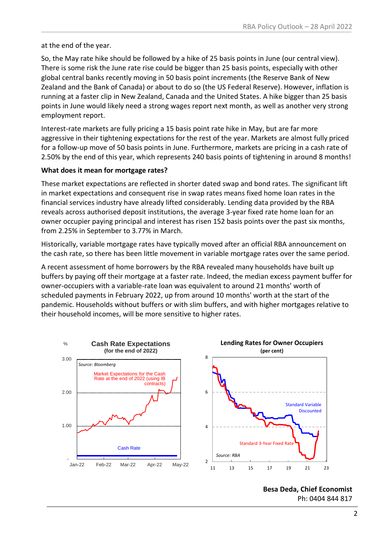at the end of the year.

So, the May rate hike should be followed by a hike of 25 basis points in June (our central view). There is some risk the June rate rise could be bigger than 25 basis points, especially with other global central banks recently moving in 50 basis point increments (the Reserve Bank of New Zealand and the Bank of Canada) or about to do so (the US Federal Reserve). However, inflation is running at a faster clip in New Zealand, Canada and the United States. A hike bigger than 25 basis points in June would likely need a strong wages report next month, as well as another very strong employment report.

Interest-rate markets are fully pricing a 15 basis point rate hike in May, but are far more aggressive in their tightening expectations for the rest of the year. Markets are almost fully priced for a follow-up move of 50 basis points in June. Furthermore, markets are pricing in a cash rate of 2.50% by the end of this year, which represents 240 basis points of tightening in around 8 months!

### **What does it mean for mortgage rates?**

These market expectations are reflected in shorter dated swap and bond rates. The significant lift in market expectations and consequent rise in swap rates means fixed home loan rates in the financial services industry have already lifted considerably. Lending data provided by the RBA reveals across authorised deposit institutions, the average 3-year fixed rate home loan for an owner occupier paying principal and interest has risen 152 basis points over the past six months, from 2.25% in September to 3.77% in March.

Historically, variable mortgage rates have typically moved after an official RBA announcement on the cash rate, so there has been little movement in variable mortgage rates over the same period.

A recent assessment of home borrowers by the RBA revealed many households have built up buffers by paying off their mortgage at a faster rate. Indeed, the median excess payment buffer for owner-occupiers with a variable-rate loan was equivalent to around 21 months' worth of scheduled payments in February 2022, up from around 10 months' worth at the start of the pandemic. Households without buffers or with slim buffers, and with higher mortgages relative to their household incomes, will be more sensitive to higher rates.



**Besa Deda, Chief Economist** Ph: 0404 844 817